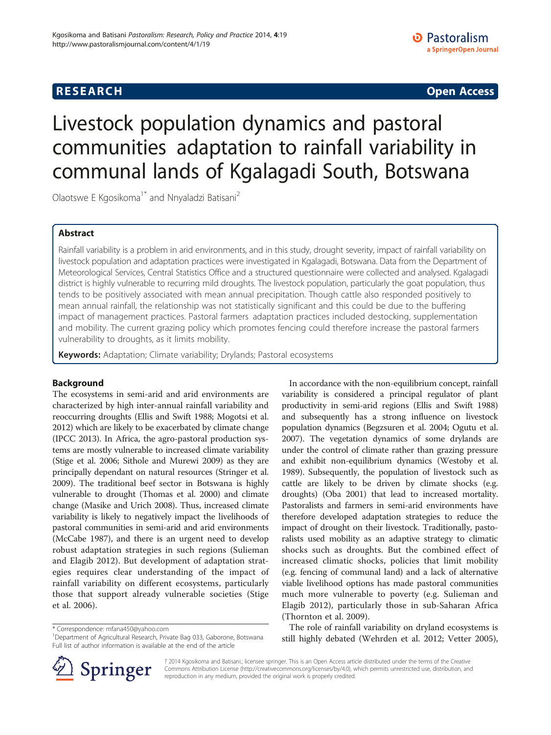## **RESEARCH CHINESE ARCH CHINESE ARCH CHINESE ARCH <b>CHINESE ARCH**

# Livestock population dynamics and pastoral communities adaptation to rainfall variability in communal lands of Kgalagadi South, Botswana

Olaotswe E Kgosikoma<sup>1\*</sup> and Nnyaladzi Batisani<sup>2</sup>

## Abstract

Rainfall variability is a problem in arid environments, and in this study, drought severity, impact of rainfall variability on livestock population and adaptation practices were investigated in Kgalagadi, Botswana. Data from the Department of Meteorological Services, Central Statistics Office and a structured questionnaire were collected and analysed. Kgalagadi district is highly vulnerable to recurring mild droughts. The livestock population, particularly the goat population, thus tends to be positively associated with mean annual precipitation. Though cattle also responded positively to mean annual rainfall, the relationship was not statistically significant and this could be due to the buffering impact of management practices. Pastoral farmers adaptation practices included destocking, supplementation and mobility. The current grazing policy which promotes fencing could therefore increase the pastoral farmers vulnerability to droughts, as it limits mobility.

Keywords: Adaptation; Climate variability; Drylands; Pastoral ecosystems

## Background

The ecosystems in semi-arid and arid environments are characterized by high inter-annual rainfall variability and reoccurring droughts (Ellis and Swift [1988](#page-7-0); Mogotsi et al. [2012\)](#page-8-0) which are likely to be exacerbated by climate change (IPCC [2013](#page-7-0)). In Africa, the agro-pastoral production systems are mostly vulnerable to increased climate variability (Stige et al. [2006;](#page-8-0) Sithole and Murewi [2009\)](#page-8-0) as they are principally dependant on natural resources (Stringer et al. [2009\)](#page-8-0). The traditional beef sector in Botswana is highly vulnerable to drought (Thomas et al. [2000](#page-8-0)) and climate change (Masike and Urich [2008](#page-8-0)). Thus, increased climate variability is likely to negatively impact the livelihoods of pastoral communities in semi-arid and arid environments (McCabe [1987\)](#page-8-0), and there is an urgent need to develop robust adaptation strategies in such regions (Sulieman and Elagib [2012\)](#page-8-0). But development of adaptation strategies requires clear understanding of the impact of rainfall variability on different ecosystems, particularly those that support already vulnerable societies (Stige et al. [2006\)](#page-8-0).

\* Correspondence: [mfana450@yahoo.com](mailto:mfana450@yahoo.com) <sup>1</sup>

<sup>1</sup>Department of Agricultural Research, Private Bag 033, Gaborone, Botswana Full list of author information is available at the end of the article

In accordance with the non-equilibrium concept, rainfall variability is considered a principal regulator of plant productivity in semi-arid regions (Ellis and Swift [1988](#page-7-0)) and subsequently has a strong influence on livestock population dynamics (Begzsuren et al. [2004;](#page-7-0) Ogutu et al. [2007\)](#page-8-0). The vegetation dynamics of some drylands are under the control of climate rather than grazing pressure and exhibit non-equilibrium dynamics (Westoby et al. [1989\)](#page-8-0). Subsequently, the population of livestock such as cattle are likely to be driven by climate shocks (e.g. droughts) (Oba [2001](#page-8-0)) that lead to increased mortality. Pastoralists and farmers in semi-arid environments have therefore developed adaptation strategies to reduce the impact of drought on their livestock. Traditionally, pastoralists used mobility as an adaptive strategy to climatic shocks such as droughts. But the combined effect of increased climatic shocks, policies that limit mobility (e.g. fencing of communal land) and a lack of alternative viable livelihood options has made pastoral communities much more vulnerable to poverty (e.g. Sulieman and Elagib [2012\)](#page-8-0), particularly those in sub-Saharan Africa (Thornton et al. [2009](#page-8-0)).

The role of rainfall variability on dryland ecosystems is still highly debated (Wehrden et al. [2012;](#page-8-0) Vetter [2005](#page-8-0)),



? 2014 Kgosikoma and Batisani.; licensee springer. This is an Open Access article distributed under the terms of the Creative Commons Attribution License (<http://creativecommons.org/licenses/by/4.0>), which permits unrestricted use, distribution, and reproduction in any medium, provided the original work is properly credited.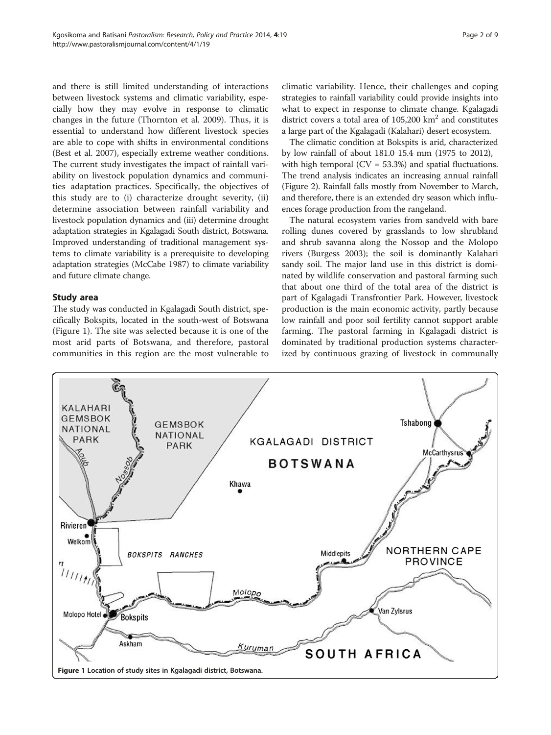and there is still limited understanding of interactions between livestock systems and climatic variability, especially how they may evolve in response to climatic changes in the future (Thornton et al. [2009](#page-8-0)). Thus, it is essential to understand how different livestock species are able to cope with shifts in environmental conditions (Best et al. [2007](#page-7-0)), especially extreme weather conditions. The current study investigates the impact of rainfall variability on livestock population dynamics and communities adaptation practices. Specifically, the objectives of this study are to (i) characterize drought severity, (ii) determine association between rainfall variability and livestock population dynamics and (iii) determine drought adaptation strategies in Kgalagadi South district, Botswana. Improved understanding of traditional management systems to climate variability is a prerequisite to developing adaptation strategies (McCabe [1987\)](#page-8-0) to climate variability and future climate change.

## Study area

The study was conducted in Kgalagadi South district, specifically Bokspits, located in the south-west of Botswana (Figure 1). The site was selected because it is one of the most arid parts of Botswana, and therefore, pastoral communities in this region are the most vulnerable to climatic variability. Hence, their challenges and coping strategies to rainfall variability could provide insights into what to expect in response to climate change. Kgalagadi district covers a total area of  $105,200$  km<sup>2</sup> and constitutes a large part of the Kgalagadi (Kalahari) desert ecosystem.

The climatic condition at Bokspits is arid, characterized by low rainfall of about 181.0? 15.4 mm (1975 to 2012), with high temporal  $(CV = 53.3%)$  and spatial fluctuations. The trend analysis indicates an increasing annual rainfall (Figure [2](#page-2-0)). Rainfall falls mostly from November to March, and therefore, there is an extended dry season which influences forage production from the rangeland.

The natural ecosystem varies from sandveld with bare rolling dunes covered by grasslands to low shrubland and shrub savanna along the Nossop and the Molopo rivers (Burgess [2003\)](#page-7-0); the soil is dominantly Kalahari sandy soil. The major land use in this district is dominated by wildlife conservation and pastoral farming such that about one third of the total area of the district is part of Kgalagadi Transfrontier Park. However, livestock production is the main economic activity, partly because low rainfall and poor soil fertility cannot support arable farming. The pastoral farming in Kgalagadi district is dominated by traditional production systems characterized by continuous grazing of livestock in communally

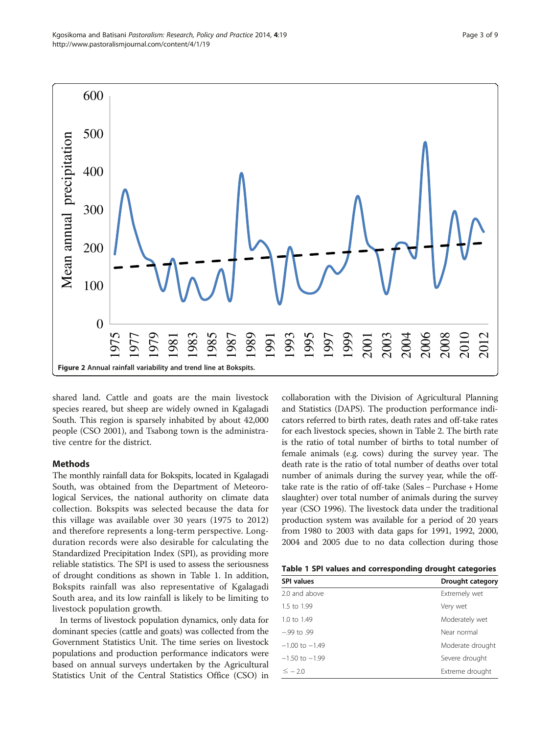<span id="page-2-0"></span>

shared land. Cattle and goats are the main livestock species reared, but sheep are widely owned in Kgalagadi South. This region is sparsely inhabited by about 42,000 people (CSO [2001\)](#page-7-0), and Tsabong town is the administrative centre for the district.

## Methods

The monthly rainfall data for Bokspits, located in Kgalagadi South, was obtained from the Department of Meteorological Services, the national authority on climate data collection. Bokspits was selected because the data for this village was available over 30 years (1975 to 2012) and therefore represents a long-term perspective. Longduration records were also desirable for calculating the Standardized Precipitation Index (SPI), as providing more reliable statistics. The SPI is used to assess the seriousness of drought conditions as shown in Table 1. In addition, Bokspits rainfall was also representative of Kgalagadi South area, and its low rainfall is likely to be limiting to livestock population growth.

In terms of livestock population dynamics, only data for dominant species (cattle and goats) was collected from the Government Statistics Unit. The time series on livestock populations and production performance indicators were based on annual surveys undertaken by the Agricultural Statistics Unit of the Central Statistics Office (CSO) in

collaboration with the Division of Agricultural Planning and Statistics (DAPS). The production performance indicators referred to birth rates, death rates and off-take rates for each livestock species, shown in Table [2](#page-3-0). The birth rate is the ratio of total number of births to total number of female animals (e.g. cows) during the survey year. The death rate is the ratio of total number of deaths over total number of animals during the survey year, while the offtake rate is the ratio of off-take (Sales − Purchase + Home slaughter) over total number of animals during the survey year (CSO [1996](#page-7-0)). The livestock data under the traditional production system was available for a period of 20 years from 1980 to 2003 with data gaps for 1991, 1992, 2000, 2004 and 2005 due to no data collection during those

|  |  |  |  |  | Table 1 SPI values and corresponding drought categories |  |  |
|--|--|--|--|--|---------------------------------------------------------|--|--|
|--|--|--|--|--|---------------------------------------------------------|--|--|

| <b>SPI values</b>  | Drought category |
|--------------------|------------------|
| 2.0 and above      | Extremely wet    |
| 1.5 to 1.99        | Very wet         |
| 1.0 to 1.49        | Moderately wet   |
| $-.99$ to $.99$    | Near normal      |
| $-1.00$ to $-1.49$ | Moderate drought |
| $-1.50$ to $-1.99$ | Severe drought   |
| $\leq -2.0$        | Extreme drought  |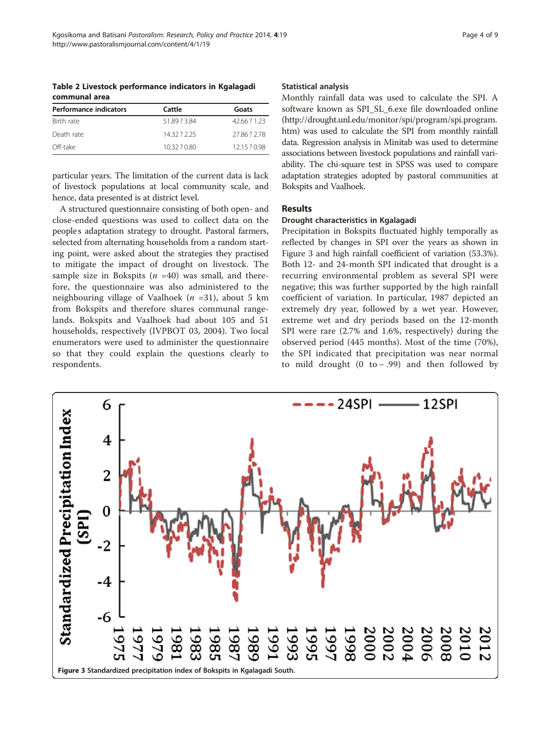<span id="page-3-0"></span>Table 2 Livestock performance indicators in Kgalagadi communal area

| <b>Performance indicators</b> | Cattle       | Goats        |
|-------------------------------|--------------|--------------|
| Birth rate                    | 51.89 ? 3.84 | 42.66 ? 1.23 |
| Death rate                    | 14322225     | 27.86 ? 2.78 |
| Off-take                      | 10.32 ? 0.80 | 12.15 ? 0.98 |

particular years. The limitation of the current data is lack of livestock populations at local community scale, and hence, data presented is at district level.

A structured questionnaire consisting of both open- and close-ended questions was used to collect data on the people s adaptation strategy to drought. Pastoral farmers, selected from alternating households from a random starting point, were asked about the strategies they practised to mitigate the impact of drought on livestock. The sample size in Bokspits ( $n = 40$ ) was small, and therefore, the questionnaire was also administered to the neighbouring village of Vaalhoek ( $n = 31$ ), about 5 km from Bokspits and therefore shares communal rangelands. Bokspits and Vaalhoek had about 105 and 51 households, respectively (IVPBOT 03, [2004](#page-7-0)). Two local enumerators were used to administer the questionnaire so that they could explain the questions clearly to respondents.

## Statistical analysis

Monthly rainfall data was used to calculate the SPI. A software known as SPI\_SL\_6.exe file downloaded online ([http://drought.unl.edu/monitor/spi/program/spi.program.](http://drought.unl.edu/monitor/spi/program/spi.program.htm) [htm](http://drought.unl.edu/monitor/spi/program/spi.program.htm)) was used to calculate the SPI from monthly rainfall data. Regression analysis in Minitab was used to determine associations between livestock populations and rainfall variability. The chi-square test in SPSS was used to compare adaptation strategies adopted by pastoral communities at Bokspits and Vaalhoek.

## Results

#### Drought characteristics in Kgalagadi

Precipitation in Bokspits fluctuated highly temporally as reflected by changes in SPI over the years as shown in Figure 3 and high rainfall coefficient of variation (53.3%). Both 12- and 24-month SPI indicated that drought is a recurring environmental problem as several SPI were negative; this was further supported by the high rainfall coefficient of variation. In particular, 1987 depicted an extremely dry year, followed by a wet year. However, extreme wet and dry periods based on the 12-month SPI were rare (2.7% and 1.6%, respectively) during the observed period (445 months). Most of the time (70%), the SPI indicated that precipitation was near normal to mild drought (0 to − .99) and then followed by

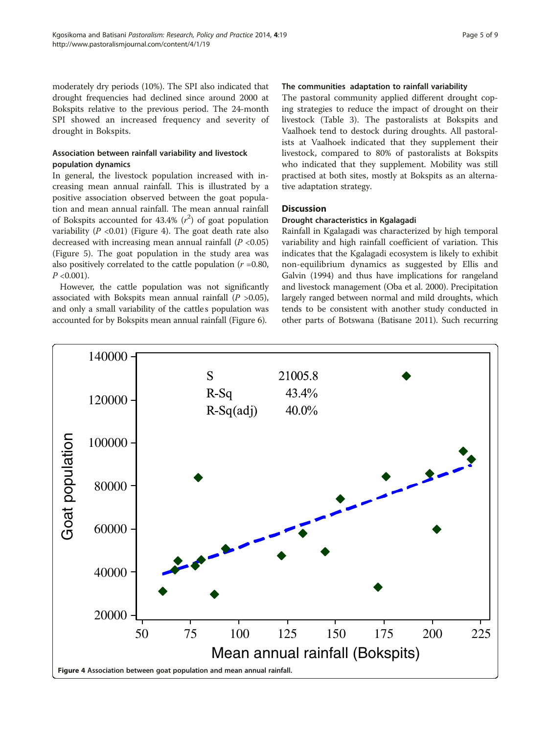moderately dry periods (10%). The SPI also indicated that drought frequencies had declined since around 2000 at Bokspits relative to the previous period. The 24-month SPI showed an increased frequency and severity of drought in Bokspits.

## Association between rainfall variability and livestock population dynamics

In general, the livestock population increased with increasing mean annual rainfall. This is illustrated by a positive association observed between the goat population and mean annual rainfall. The mean annual rainfall of Bokspits accounted for 43.4%  $(r^2)$  of goat population variability ( $P < 0.01$ ) (Figure 4). The goat death rate also decreased with increasing mean annual rainfall  $(P < 0.05)$ (Figure [5](#page-5-0)). The goat population in the study area was also positively correlated to the cattle population  $(r = 0.80,$  $P < 0.001$ ).

However, the cattle population was not significantly associated with Bokspits mean annual rainfall  $(P > 0.05)$ , and only a small variability of the cattles population was accounted for by Bokspits mean annual rainfall (Figure [6](#page-6-0)).

## The communities adaptation to rainfall variability

The pastoral community applied different drought coping strategies to reduce the impact of drought on their livestock (Table [3\)](#page-6-0). The pastoralists at Bokspits and Vaalhoek tend to destock during droughts. All pastoralists at Vaalhoek indicated that they supplement their livestock, compared to 80% of pastoralists at Bokspits who indicated that they supplement. Mobility was still practised at both sites, mostly at Bokspits as an alternative adaptation strategy.

## **Discussion**

## Drought characteristics in Kgalagadi

Rainfall in Kgalagadi was characterized by high temporal variability and high rainfall coefficient of variation. This indicates that the Kgalagadi ecosystem is likely to exhibit non-equilibrium dynamics as suggested by Ellis and Galvin ([1994\)](#page-7-0) and thus have implications for rangeland and livestock management (Oba et al. [2000](#page-8-0)). Precipitation largely ranged between normal and mild droughts, which tends to be consistent with another study conducted in other parts of Botswana (Batisane [2011](#page-7-0)). Such recurring

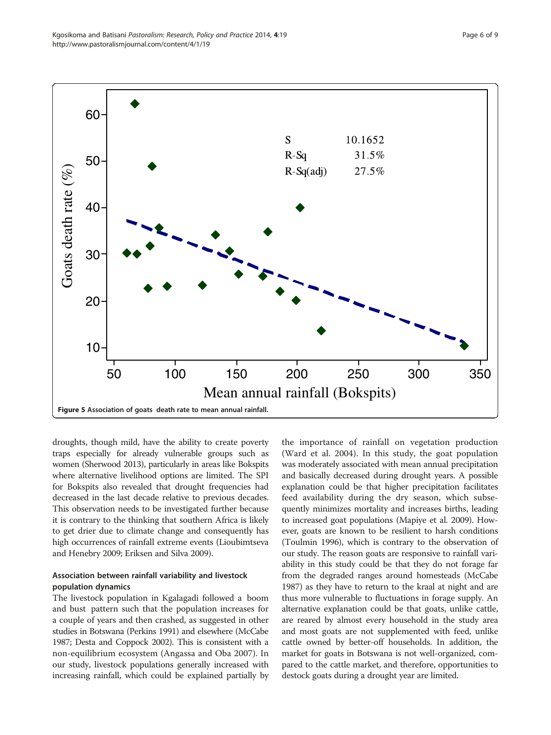<span id="page-5-0"></span>

droughts, though mild, have the ability to create poverty traps especially for already vulnerable groups such as women (Sherwood [2013\)](#page-8-0), particularly in areas like Bokspits where alternative livelihood options are limited. The SPI for Bokspits also revealed that drought frequencies had decreased in the last decade relative to previous decades. This observation needs to be investigated further because it is contrary to the thinking that southern Africa is likely to get drier due to climate change and consequently has high occurrences of rainfall extreme events (Lioubimtseva and Henebry [2009](#page-7-0); Eriksen and Silva [2009](#page-7-0)).

## Association between rainfall variability and livestock population dynamics

The livestock population in Kgalagadi followed a boom and bust pattern such that the population increases for a couple of years and then crashed, as suggested in other studies in Botswana (Perkins [1991\)](#page-8-0) and elsewhere (McCabe [1987;](#page-8-0) Desta and Coppock [2002\)](#page-7-0). This is consistent with a non-equilibrium ecosystem (Angassa and Oba [2007](#page-7-0)). In our study, livestock populations generally increased with increasing rainfall, which could be explained partially by

the importance of rainfall on vegetation production (Ward et al. [2004\)](#page-8-0). In this study, the goat population was moderately associated with mean annual precipitation and basically decreased during drought years. A possible explanation could be that higher precipitation facilitates feed availability during the dry season, which subsequently minimizes mortality and increases births, leading to increased goat populations (Mapiye et al. [2009](#page-8-0)). However, goats are known to be resilient to harsh conditions (Toulmin [1996](#page-8-0)), which is contrary to the observation of our study. The reason goats are responsive to rainfall variability in this study could be that they do not forage far from the degraded ranges around homesteads (McCabe [1987\)](#page-8-0) as they have to return to the kraal at night and are thus more vulnerable to fluctuations in forage supply. An alternative explanation could be that goats, unlike cattle, are reared by almost every household in the study area and most goats are not supplemented with feed, unlike cattle owned by better-off households. In addition, the market for goats in Botswana is not well-organized, compared to the cattle market, and therefore, opportunities to destock goats during a drought year are limited.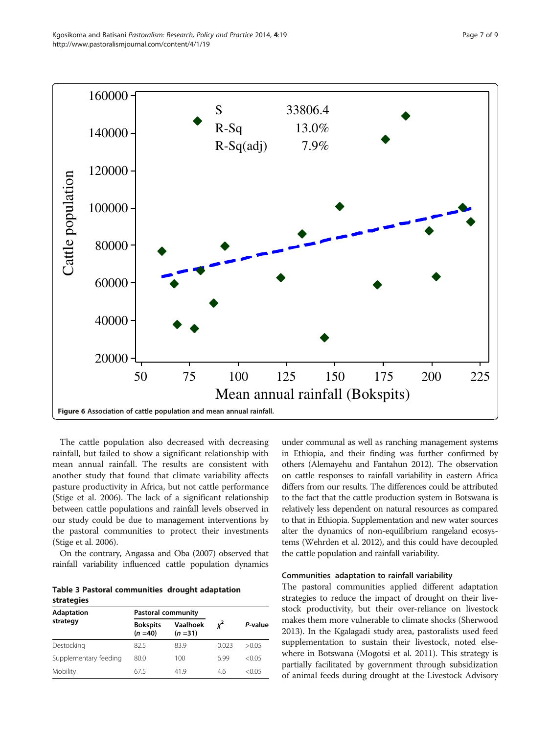<span id="page-6-0"></span>

The cattle population also decreased with decreasing rainfall, but failed to show a significant relationship with mean annual rainfall. The results are consistent with another study that found that climate variability affects pasture productivity in Africa, but not cattle performance (Stige et al. [2006\)](#page-8-0). The lack of a significant relationship between cattle populations and rainfall levels observed in our study could be due to management interventions by the pastoral communities to protect their investments (Stige et al. [2006\)](#page-8-0).

On the contrary, Angassa and Oba [\(2007](#page-7-0)) observed that rainfall variability influenced cattle population dynamics

Table 3 Pastoral communities drought adaptation strategies

| <b>Adaptation</b>     | <b>Pastoral community</b>     |                               | $\mathbf{v}^2$ | P-value |
|-----------------------|-------------------------------|-------------------------------|----------------|---------|
| strategy              | <b>Bokspits</b><br>$(n = 40)$ | <b>Vaalhoek</b><br>$(n = 31)$ |                |         |
| Destocking            | 82.5                          | 83.9                          | 0.023          | >0.05   |
| Supplementary feeding | 80.0                          | 100                           | 6.99           | < 0.05  |
| Mobility              | 675                           | 419                           | 4.6            | < 0.05  |

under communal as well as ranching management systems in Ethiopia, and their finding was further confirmed by others (Alemayehu and Fantahun [2012\)](#page-7-0). The observation on cattle responses to rainfall variability in eastern Africa differs from our results. The differences could be attributed to the fact that the cattle production system in Botswana is relatively less dependent on natural resources as compared to that in Ethiopia. Supplementation and new water sources alter the dynamics of non-equilibrium rangeland ecosystems (Wehrden et al. [2012](#page-8-0)), and this could have decoupled the cattle population and rainfall variability.

#### Communities adaptation to rainfall variability

The pastoral communities applied different adaptation strategies to reduce the impact of drought on their livestock productivity, but their over-reliance on livestock makes them more vulnerable to climate shocks (Sherwood [2013](#page-8-0)). In the Kgalagadi study area, pastoralists used feed supplementation to sustain their livestock, noted elsewhere in Botswana (Mogotsi et al. [2011\)](#page-8-0). This strategy is partially facilitated by government through subsidization of animal feeds during drought at the Livestock Advisory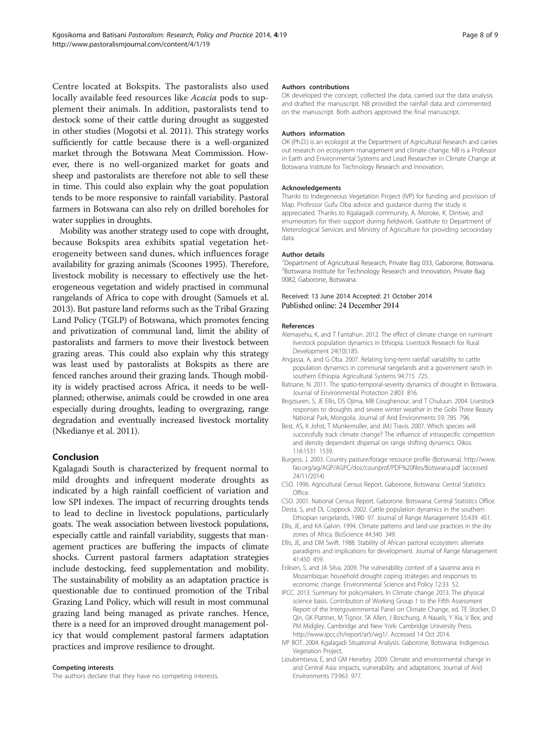<span id="page-7-0"></span>Centre located at Bokspits. The pastoralists also used locally available feed resources like Acacia pods to supplement their animals. In addition, pastoralists tend to destock some of their cattle during drought as suggested in other studies (Mogotsi et al. [2011](#page-8-0)). This strategy works sufficiently for cattle because there is a well-organized market through the Botswana Meat Commission. However, there is no well-organized market for goats and sheep and pastoralists are therefore not able to sell these in time. This could also explain why the goat population tends to be more responsive to rainfall variability. Pastoral farmers in Botswana can also rely on drilled boreholes for water supplies in droughts.

Mobility was another strategy used to cope with drought, because Bokspits area exhibits spatial vegetation heterogeneity between sand dunes, which influences forage availability for grazing animals (Scoones [1995\)](#page-8-0). Therefore, livestock mobility is necessary to effectively use the heterogeneous vegetation and widely practised in communal rangelands of Africa to cope with drought (Samuels et al. [2013\)](#page-8-0). But pasture land reforms such as the Tribal Grazing Land Policy (TGLP) of Botswana, which promotes fencing and privatization of communal land, limit the ability of pastoralists and farmers to move their livestock between grazing areas. This could also explain why this strategy was least used by pastoralists at Bokspits as there are fenced ranches around their grazing lands. Though mobility is widely practised across Africa, it needs to be wellplanned; otherwise, animals could be crowded in one area especially during droughts, leading to overgrazing, range degradation and eventually increased livestock mortality (Nkedianye et al. [2011\)](#page-8-0).

## Conclusion

Kgalagadi South is characterized by frequent normal to mild droughts and infrequent moderate droughts as indicated by a high rainfall coefficient of variation and low SPI indexes. The impact of recurring droughts tends to lead to decline in livestock populations, particularly goats. The weak association between livestock populations, especially cattle and rainfall variability, suggests that management practices are buffering the impacts of climate shocks. Current pastoral farmers adaptation strategies include destocking, feed supplementation and mobility. The sustainability of mobility as an adaptation practice is questionable due to continued promotion of the Tribal Grazing Land Policy, which will result in most communal grazing land being managed as private ranches. Hence, there is a need for an improved drought management policy that would complement pastoral farmers adaptation practices and improve resilience to drought.

#### Competing interests

The authors declare that they have no competing interests.

#### Authors contributions

OK developed the concept, collected the data, carried out the data analysis and drafted the manuscript. NB provided the rainfall data and commented on the manuscript. Both authors approved the final manuscript.

#### Authors information

OK (Ph.D.) is an ecologist at the Department of Agricultural Research and carries out research on ecosystem management and climate change. NB is a Professor in Earth and Environmental Systems and Lead Researcher in Climate Change at Botswana Institute for Technology Research and Innovation.

#### Acknowledgements

Thanks to Indegeneous Vegetation Project (IVP) for funding and provision of Map. Professor Gufu Oba advice and guidance during the study is appreciated. Thanks to Kgalagadi community, A. Moroke, K. Dintwe, and enumerators for their support during fieldwork. Gratitute to Department of Meterological Services and Ministry of Agriculture for providing secoondary data.

#### Author details

<sup>1</sup> Department of Agricultural Research, Private Bag 033, Gaborone, Botswana. 2 Botswana Institute for Technology Research and Innovation, Private Bag 0082, Gaborone, Botswana.

#### Received: 13 June 2014 Accepted: 21 October 2014 Published online: 24 December 2014

#### References

- Alemayehu, K, and T Fantahun. 2012. The effect of climate change on ruminant livestock population dynamics in Ethiopia. Livestock Research for Rural Development 24(10):185.
- Angassa, A, and G Oba. 2007. Relating long-term rainfall variability to cattle population dynamics in communal rangelands and a government ranch in southern Ethiopia. Agricultural Systems 94:715 725.
- Batisane, N. 2011. The spatio-temporal-severity dynamics of drought in Botswana. Journal of Environmental Protection 2:803 816.
- Begzsuren, S, JE Ellis, DS Ojima, MB Coughenour, and T Chuluun. 2004. Livestock responses to droughts and severe winter weather in the Gobi Three Beauty National Park, Mongolia. Journal of Arid Environments 59: 785 796.
- Best, AS, K Johst, T Munkemuller, and JMJ Travis. 2007. Which species will successfully track climate change? The influence of intraspecific competition and density dependent dispersal on range shifting dynamics. Oikos 116:1531 1539.
- Burgess, J. 2003. Country pasture/forage resource profile (Botswana). [http://www.](http://www.fao.org/ag/AGP/AGPC/doc/counprof/PDF%20files/Botswana.pdf) [fao.org/ag/AGP/AGPC/doc/counprof/PDF%20files/Botswana.pdf](http://www.fao.org/ag/AGP/AGPC/doc/counprof/PDF%20files/Botswana.pdf) (accessed 24/11/2014)
- CSO. 1996. Agricultural Census Report. Gaborone, Botswana: Central Statistics Office.
- CSO. 2001. National Census Report. Gaborone. Botswana: Central Statistics Office. Desta, S, and DL Coppock. 2002. Cattle population dynamics in the southern
- Ethiopian rangelands, 1980 97. Journal of Range Management 55:439 451. Ellis, JE, and KA Galvin. 1994. Climate patterns and land-use practices in the dry zones of Africa. BioScience 44:340 349.
- Ellis, JE, and DM Swift. 1988. Stability of African pastoral ecosystem: alternate paradigms and implications for development. Journal of Range Management 41:450 459.
- Eriksen, S, and JA Silva. 2009. The vulnerability context of a savanna area in Mozambique: household drought coping strategies and responses to economic change. Environmental Science and Policy 12:33 52.
- IPCC. 2013. Summary for policymakers. In Climate change 2013. The physical science basis. Contribution of Working Group 1 to the Fifth Assessment Report of the Intergovernmental Panel on Climate Change, ed. TE Stocker, D Qin, GK Plattner, M Tignor, SK Allen, J Boschung, A Nauels, Y Xia, V Bex, and PM Midgley. Cambridge and New York: Cambridge University Press. <http://www.ipcc.ch/report/ar5/wg1/>. Accessed 14 Oct 2014.
- IVP BOT. 2004. Kgalagadi Situational Analysis. Gaborone, Botswana: Indigenous Vegetation Project.
- Lioubimtseva, E, and GM Henebry. 2009. Climate and environmental change in arid Central Asia: impacts, vulnerability, and adaptations. Journal of Arid Environments 73:963 977.